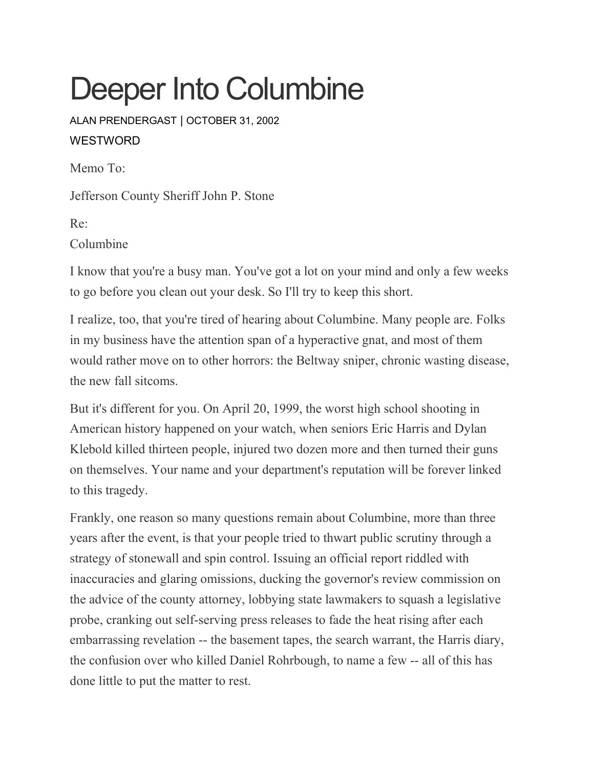# Deeper Into Columbine

ALAN [PRENDERGAST](https://www.westword.com/authors/alan-prendergast-5052731) | OCTOBER 31, 2002 **WESTWORD** 

Memo To:

Jefferson County Sheriff John P. Stone

Re: Columbine

I know that you're a busy man. You've got a lot on your mind and only a few weeks to go before you clean out your desk. So I'll try to keep this short.

I realize, too, that you're tired of hearing about Columbine. Many people are. Folks in my business have the attention span of a hyperactive gnat, and most of them would rather move on to other horrors: the Beltway sniper, chronic wasting disease, the new fall sitcoms.

But it's different for you. On April 20, 1999, the worst high school shooting in American history happened on your watch, when seniors Eric Harris and Dylan Klebold killed thirteen people, injured two dozen more and then turned their guns on themselves. Your name and your department's reputation will be forever linked to this tragedy.

Frankly, one reason so many questions remain about Columbine, more than three years after the event, is that your people tried to thwart public scrutiny through a strategy of stonewall and spin control. Issuing an official report riddled with inaccuracies and glaring omissions, ducking the governor's review commission on the advice of the county attorney, lobbying state lawmakers to squash a legislative probe, cranking out self-serving press releases to fade the heat rising after each embarrassing revelation -- the basement tapes, the search warrant, the Harris diary, the confusion over who killed Daniel Rohrbough, to name a few -- all of this has done little to put the matter to rest.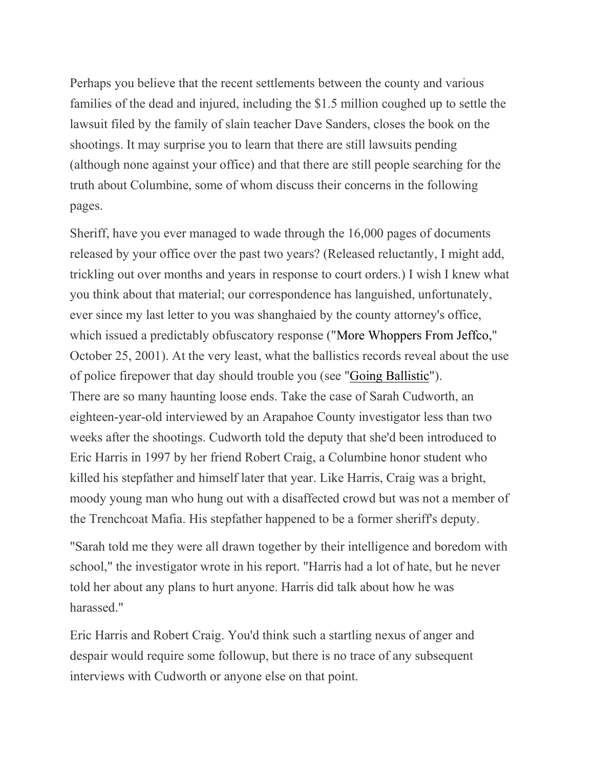Perhaps you believe that the recent settlements between the county and various families of the dead and injured, including the \$1.5 million coughed up to settle the lawsuit filed by the family of slain teacher Dave Sanders, closes the book on the shootings. It may surprise you to learn that there are still lawsuits pending (although none against your office) and that there are still people searching for the truth about Columbine, some of whom discuss their concerns in the following pages.

Sheriff, have you ever managed to wade through the 16,000 pages of documents released by your office over the past two years? (Released reluctantly, I might add, trickling out over months and years in response to court orders.) I wish I knew what you think about that material; our correspondence has languished, unfortunately, ever since my last letter to you was shanghaied by the county attorney's office, which issued a predictably obfuscatory response ("More [Whoppers](https://www.westword.com/issues/2001-10-25/sidebar.html/1/index.html) From Jeffco," October 25, 2001). At the very least, what the ballistics records reveal about the use of police firepower that day should trouble you (see "Going [Ballistic"](https://www.westword.com/issues/2002-10-31/sidebar.html/1/index.html)). There are so many haunting loose ends. Take the case of Sarah Cudworth, an eighteen-year-old interviewed by an Arapahoe County investigator less than two weeks after the shootings. Cudworth told the deputy that she'd been introduced to Eric Harris in 1997 by her friend Robert Craig, a Columbine honor student who killed his stepfather and himself later that year. Like Harris, Craig was a bright, moody young man who hung out with a disaffected crowd but was not a member of the Trenchcoat Mafia. His stepfather happened to be a former sheriff's deputy.

"Sarah told me they were all drawn together by their intelligence and boredom with school," the investigator wrote in his report. "Harris had a lot of hate, but he never told her about any plans to hurt anyone. Harris did talk about how he was harassed."

Eric Harris and Robert Craig. You'd think such a startling nexus of anger and despair would require some followup, but there is no trace of any subsequent interviews with Cudworth or anyone else on that point.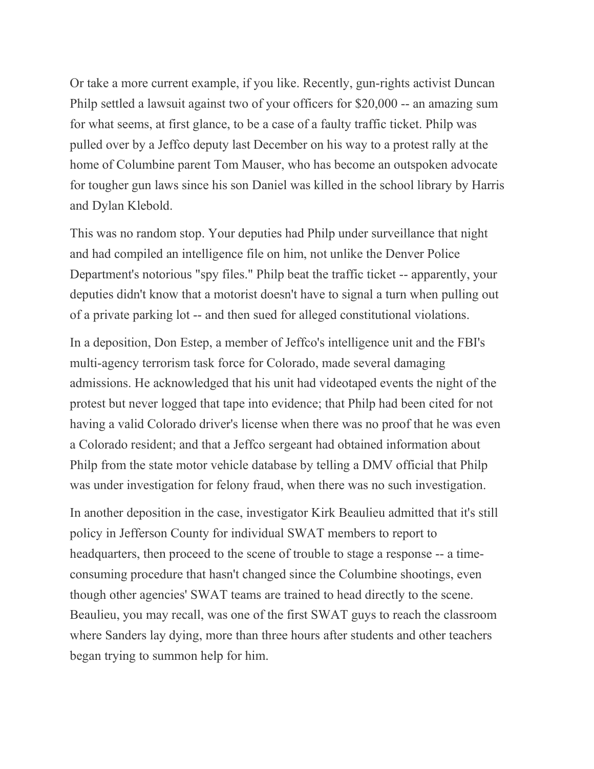Or take a more current example, if you like. Recently, gun-rights activist Duncan Philp settled a lawsuit against two of your officers for \$20,000 -- an amazing sum for what seems, at first glance, to be a case of a faulty traffic ticket. Philp was pulled over by a Jeffco deputy last December on his way to a protest rally at the home of Columbine parent Tom Mauser, who has become an outspoken advocate for tougher gun laws since his son Daniel was killed in the school library by Harris and Dylan Klebold.

This was no random stop. Your deputies had Philp under surveillance that night and had compiled an intelligence file on him, not unlike the Denver Police Department's notorious "spy files." Philp beat the traffic ticket -- apparently, your deputies didn't know that a motorist doesn't have to signal a turn when pulling out of a private parking lot -- and then sued for alleged constitutional violations.

In a deposition, Don Estep, a member of Jeffco's intelligence unit and the FBI's multi-agency terrorism task force for Colorado, made several damaging admissions. He acknowledged that his unit had videotaped events the night of the protest but never logged that tape into evidence; that Philp had been cited for not having a valid Colorado driver's license when there was no proof that he was even a Colorado resident; and that a Jeffco sergeant had obtained information about Philp from the state motor vehicle database by telling a DMV official that Philp was under investigation for felony fraud, when there was no such investigation.

In another deposition in the case, investigator Kirk Beaulieu admitted that it's still policy in Jefferson County for individual SWAT members to report to headquarters, then proceed to the scene of trouble to stage a response -- a timeconsuming procedure that hasn't changed since the Columbine shootings, even though other agencies' SWAT teams are trained to head directly to the scene. Beaulieu, you may recall, was one of the first SWAT guys to reach the classroom where Sanders lay dying, more than three hours after students and other teachers began trying to summon help for him.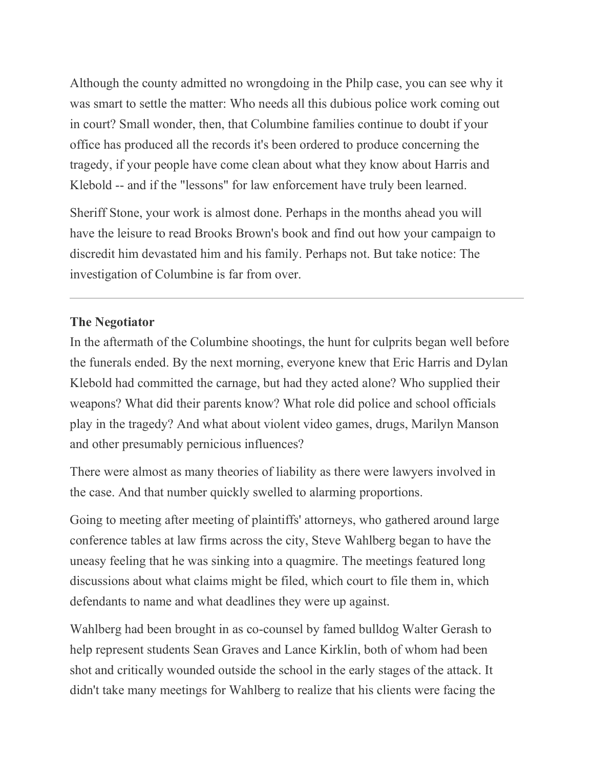Although the county admitted no wrongdoing in the Philp case, you can see why it was smart to settle the matter: Who needs all this dubious police work coming out in court? Small wonder, then, that Columbine families continue to doubt if your office has produced all the records it's been ordered to produce concerning the tragedy, if your people have come clean about what they know about Harris and Klebold -- and if the "lessons" for law enforcement have truly been learned.

Sheriff Stone, your work is almost done. Perhaps in the months ahead you will have the leisure to read Brooks Brown's book and find out how your campaign to discredit him devastated him and his family. Perhaps not. But take notice: The investigation of Columbine is far from over.

## **The Negotiator**

In the aftermath of the Columbine shootings, the hunt for culprits began well before the funerals ended. By the next morning, everyone knew that Eric Harris and Dylan Klebold had committed the carnage, but had they acted alone? Who supplied their weapons? What did their parents know? What role did police and school officials play in the tragedy? And what about violent video games, drugs, Marilyn Manson and other presumably pernicious influences?

There were almost as many theories of liability as there were lawyers involved in the case. And that number quickly swelled to alarming proportions.

Going to meeting after meeting of plaintiffs' attorneys, who gathered around large conference tables at law firms across the city, Steve Wahlberg began to have the uneasy feeling that he was sinking into a quagmire. The meetings featured long discussions about what claims might be filed, which court to file them in, which defendants to name and what deadlines they were up against.

Wahlberg had been brought in as co-counsel by famed bulldog Walter Gerash to help represent students Sean Graves and Lance Kirklin, both of whom had been shot and critically wounded outside the school in the early stages of the attack. It didn't take many meetings for Wahlberg to realize that his clients were facing the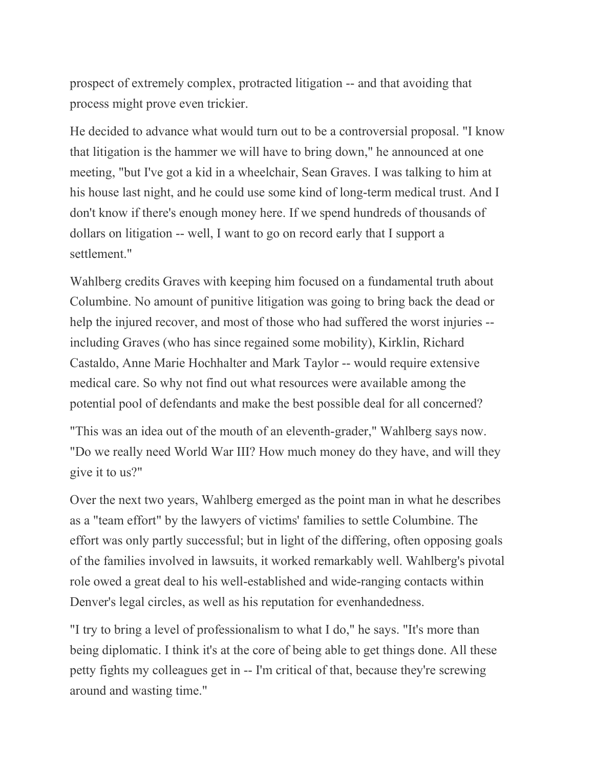prospect of extremely complex, protracted litigation -- and that avoiding that process might prove even trickier.

He decided to advance what would turn out to be a controversial proposal. "I know that litigation is the hammer we will have to bring down," he announced at one meeting, "but I've got a kid in a wheelchair, Sean Graves. I was talking to him at his house last night, and he could use some kind of long-term medical trust. And I don't know if there's enough money here. If we spend hundreds of thousands of dollars on litigation -- well, I want to go on record early that I support a settlement."

Wahlberg credits Graves with keeping him focused on a fundamental truth about Columbine. No amount of punitive litigation was going to bring back the dead or help the injured recover, and most of those who had suffered the worst injuries - including Graves (who has since regained some mobility), Kirklin, Richard Castaldo, Anne Marie Hochhalter and Mark Taylor -- would require extensive medical care. So why not find out what resources were available among the potential pool of defendants and make the best possible deal for all concerned?

"This was an idea out of the mouth of an eleventh-grader," Wahlberg says now. "Do we really need World War III? How much money do they have, and will they give it to us?"

Over the next two years, Wahlberg emerged as the point man in what he describes as a "team effort" by the lawyers of victims' families to settle Columbine. The effort was only partly successful; but in light of the differing, often opposing goals of the families involved in lawsuits, it worked remarkably well. Wahlberg's pivotal role owed a great deal to his well-established and wide-ranging contacts within Denver's legal circles, as well as his reputation for evenhandedness.

"I try to bring a level of professionalism to what I do," he says. "It's more than being diplomatic. I think it's at the core of being able to get things done. All these petty fights my colleagues get in -- I'm critical of that, because they're screwing around and wasting time."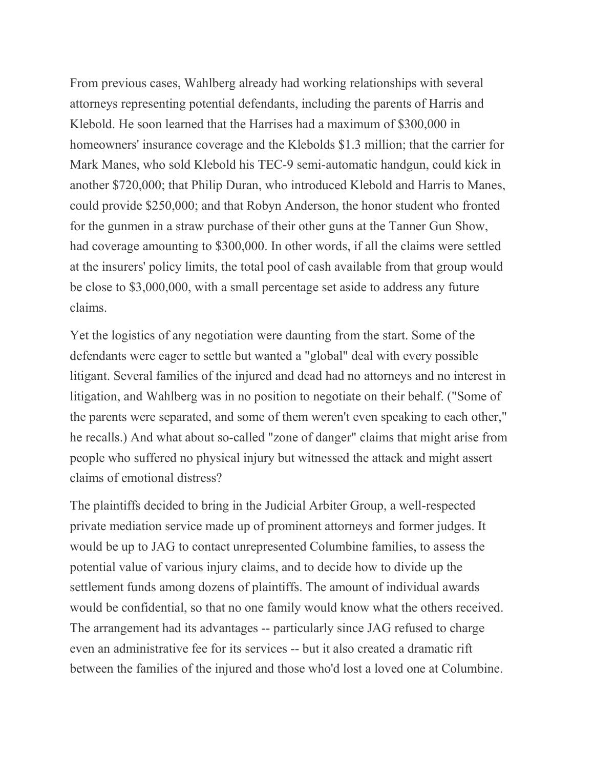From previous cases, Wahlberg already had working relationships with several attorneys representing potential defendants, including the parents of Harris and Klebold. He soon learned that the Harrises had a maximum of \$300,000 in homeowners' insurance coverage and the Klebolds \$1.3 million; that the carrier for Mark Manes, who sold Klebold his TEC-9 semi-automatic handgun, could kick in another \$720,000; that Philip Duran, who introduced Klebold and Harris to Manes, could provide \$250,000; and that Robyn Anderson, the honor student who fronted for the gunmen in a straw purchase of their other guns at the Tanner Gun Show, had coverage amounting to \$300,000. In other words, if all the claims were settled at the insurers' policy limits, the total pool of cash available from that group would be close to \$3,000,000, with a small percentage set aside to address any future claims.

Yet the logistics of any negotiation were daunting from the start. Some of the defendants were eager to settle but wanted a "global" deal with every possible litigant. Several families of the injured and dead had no attorneys and no interest in litigation, and Wahlberg was in no position to negotiate on their behalf. ("Some of the parents were separated, and some of them weren't even speaking to each other," he recalls.) And what about so-called "zone of danger" claims that might arise from people who suffered no physical injury but witnessed the attack and might assert claims of emotional distress?

The plaintiffs decided to bring in the Judicial Arbiter Group, a well-respected private mediation service made up of prominent attorneys and former judges. It would be up to JAG to contact unrepresented Columbine families, to assess the potential value of various injury claims, and to decide how to divide up the settlement funds among dozens of plaintiffs. The amount of individual awards would be confidential, so that no one family would know what the others received. The arrangement had its advantages -- particularly since JAG refused to charge even an administrative fee for its services -- but it also created a dramatic rift between the families of the injured and those who'd lost a loved one at Columbine.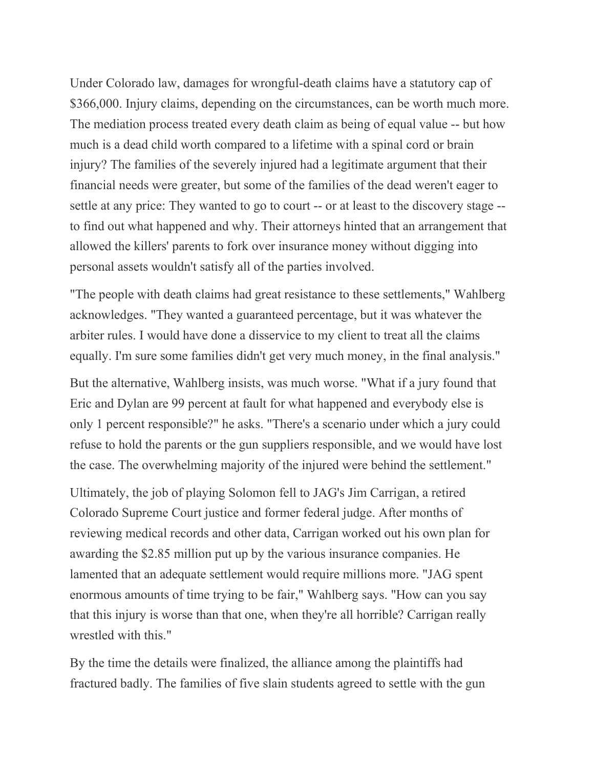Under Colorado law, damages for wrongful-death claims have a statutory cap of \$366,000. Injury claims, depending on the circumstances, can be worth much more. The mediation process treated every death claim as being of equal value -- but how much is a dead child worth compared to a lifetime with a spinal cord or brain injury? The families of the severely injured had a legitimate argument that their financial needs were greater, but some of the families of the dead weren't eager to settle at any price: They wanted to go to court -- or at least to the discovery stage - to find out what happened and why. Their attorneys hinted that an arrangement that allowed the killers' parents to fork over insurance money without digging into personal assets wouldn't satisfy all of the parties involved.

"The people with death claims had great resistance to these settlements," Wahlberg acknowledges. "They wanted a guaranteed percentage, but it was whatever the arbiter rules. I would have done a disservice to my client to treat all the claims equally. I'm sure some families didn't get very much money, in the final analysis."

But the alternative, Wahlberg insists, was much worse. "What if a jury found that Eric and Dylan are 99 percent at fault for what happened and everybody else is only 1 percent responsible?" he asks. "There's a scenario under which a jury could refuse to hold the parents or the gun suppliers responsible, and we would have lost the case. The overwhelming majority of the injured were behind the settlement."

Ultimately, the job of playing Solomon fell to JAG's Jim Carrigan, a retired Colorado Supreme Court justice and former federal judge. After months of reviewing medical records and other data, Carrigan worked out his own plan for awarding the \$2.85 million put up by the various insurance companies. He lamented that an adequate settlement would require millions more. "JAG spent enormous amounts of time trying to be fair," Wahlberg says. "How can you say that this injury is worse than that one, when they're all horrible? Carrigan really wrestled with this."

By the time the details were finalized, the alliance among the plaintiffs had fractured badly. The families of five slain students agreed to settle with the gun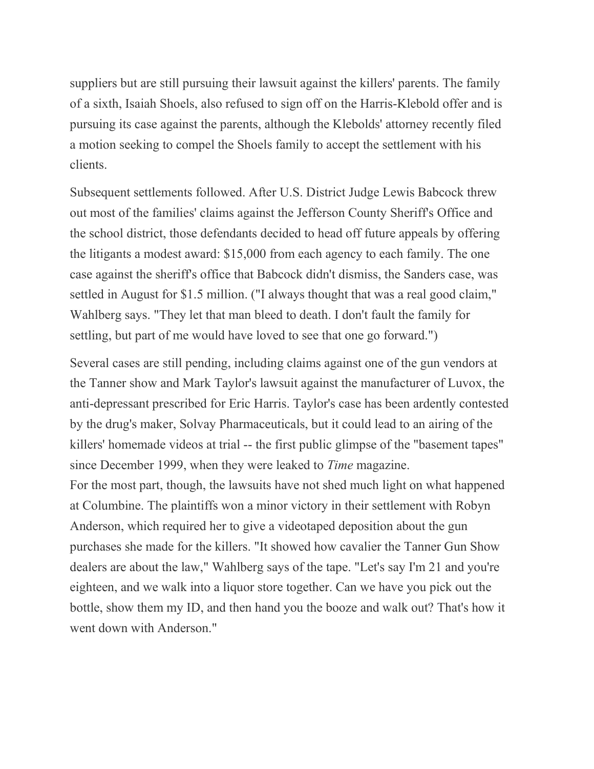suppliers but are still pursuing their lawsuit against the killers' parents. The family of a sixth, Isaiah Shoels, also refused to sign off on the Harris-Klebold offer and is pursuing its case against the parents, although the Klebolds' attorney recently filed a motion seeking to compel the Shoels family to accept the settlement with his clients.

Subsequent settlements followed. After U.S. District Judge Lewis Babcock threw out most of the families' claims against the Jefferson County Sheriff's Office and the school district, those defendants decided to head off future appeals by offering the litigants a modest award: \$15,000 from each agency to each family. The one case against the sheriff's office that Babcock didn't dismiss, the Sanders case, was settled in August for \$1.5 million. ("I always thought that was a real good claim," Wahlberg says. "They let that man bleed to death. I don't fault the family for settling, but part of me would have loved to see that one go forward.")

Several cases are still pending, including claims against one of the gun vendors at the Tanner show and Mark Taylor's lawsuit against the manufacturer of Luvox, the anti-depressant prescribed for Eric Harris. Taylor's case has been ardently contested by the drug's maker, Solvay Pharmaceuticals, but it could lead to an airing of the killers' homemade videos at trial -- the first public glimpse of the "basement tapes" since December 1999, when they were leaked to *Time* magazine. For the most part, though, the lawsuits have not shed much light on what happened at Columbine. The plaintiffs won a minor victory in their settlement with Robyn Anderson, which required her to give a videotaped deposition about the gun purchases she made for the killers. "It showed how cavalier the Tanner Gun Show dealers are about the law," Wahlberg says of the tape. "Let's say I'm 21 and you're eighteen, and we walk into a liquor store together. Can we have you pick out the bottle, show them my ID, and then hand you the booze and walk out? That's how it went down with Anderson."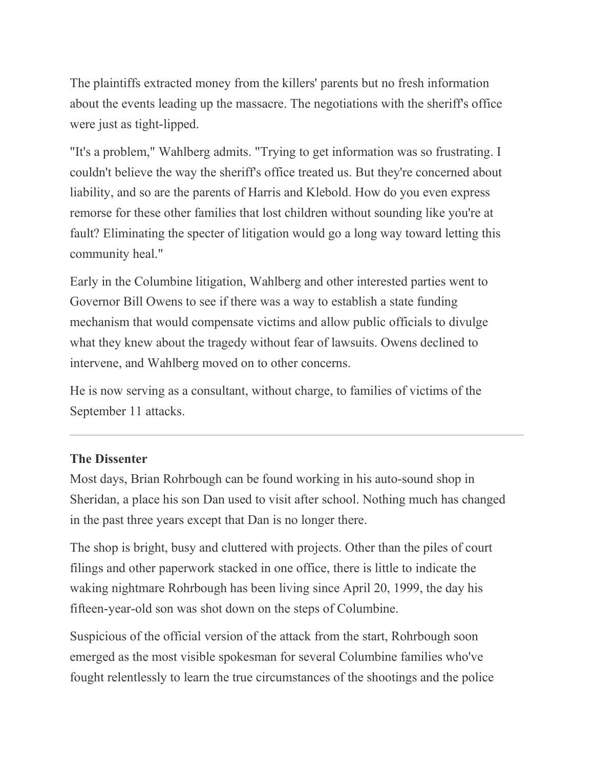The plaintiffs extracted money from the killers' parents but no fresh information about the events leading up the massacre. The negotiations with the sheriff's office were just as tight-lipped.

"It's a problem," Wahlberg admits. "Trying to get information was so frustrating. I couldn't believe the way the sheriff's office treated us. But they're concerned about liability, and so are the parents of Harris and Klebold. How do you even express remorse for these other families that lost children without sounding like you're at fault? Eliminating the specter of litigation would go a long way toward letting this community heal."

Early in the Columbine litigation, Wahlberg and other interested parties went to Governor Bill Owens to see if there was a way to establish a state funding mechanism that would compensate victims and allow public officials to divulge what they knew about the tragedy without fear of lawsuits. Owens declined to intervene, and Wahlberg moved on to other concerns.

He is now serving as a consultant, without charge, to families of victims of the September 11 attacks.

### **The Dissenter**

Most days, Brian Rohrbough can be found working in his auto-sound shop in Sheridan, a place his son Dan used to visit after school. Nothing much has changed in the past three years except that Dan is no longer there.

The shop is bright, busy and cluttered with projects. Other than the piles of court filings and other paperwork stacked in one office, there is little to indicate the waking nightmare Rohrbough has been living since April 20, 1999, the day his fifteen-year-old son was shot down on the steps of Columbine.

Suspicious of the official version of the attack from the start, Rohrbough soon emerged as the most visible spokesman for several Columbine families who've fought relentlessly to learn the true circumstances of the shootings and the police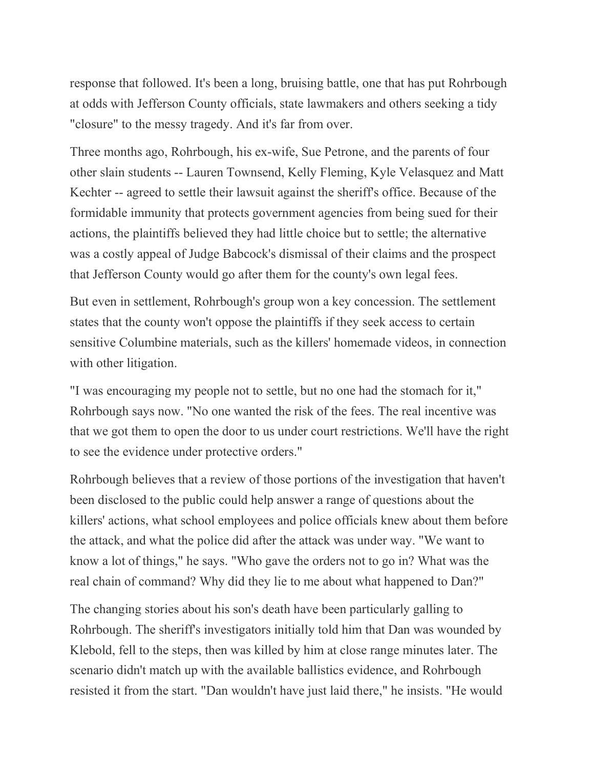response that followed. It's been a long, bruising battle, one that has put Rohrbough at odds with Jefferson County officials, state lawmakers and others seeking a tidy "closure" to the messy tragedy. And it's far from over.

Three months ago, Rohrbough, his ex-wife, Sue Petrone, and the parents of four other slain students -- Lauren Townsend, Kelly Fleming, Kyle Velasquez and Matt Kechter -- agreed to settle their lawsuit against the sheriff's office. Because of the formidable immunity that protects government agencies from being sued for their actions, the plaintiffs believed they had little choice but to settle; the alternative was a costly appeal of Judge Babcock's dismissal of their claims and the prospect that Jefferson County would go after them for the county's own legal fees.

But even in settlement, Rohrbough's group won a key concession. The settlement states that the county won't oppose the plaintiffs if they seek access to certain sensitive Columbine materials, such as the killers' homemade videos, in connection with other litigation.

"I was encouraging my people not to settle, but no one had the stomach for it," Rohrbough says now. "No one wanted the risk of the fees. The real incentive was that we got them to open the door to us under court restrictions. We'll have the right to see the evidence under protective orders."

Rohrbough believes that a review of those portions of the investigation that haven't been disclosed to the public could help answer a range of questions about the killers' actions, what school employees and police officials knew about them before the attack, and what the police did after the attack was under way. "We want to know a lot of things," he says. "Who gave the orders not to go in? What was the real chain of command? Why did they lie to me about what happened to Dan?"

The changing stories about his son's death have been particularly galling to Rohrbough. The sheriff's investigators initially told him that Dan was wounded by Klebold, fell to the steps, then was killed by him at close range minutes later. The scenario didn't match up with the available ballistics evidence, and Rohrbough resisted it from the start. "Dan wouldn't have just laid there," he insists. "He would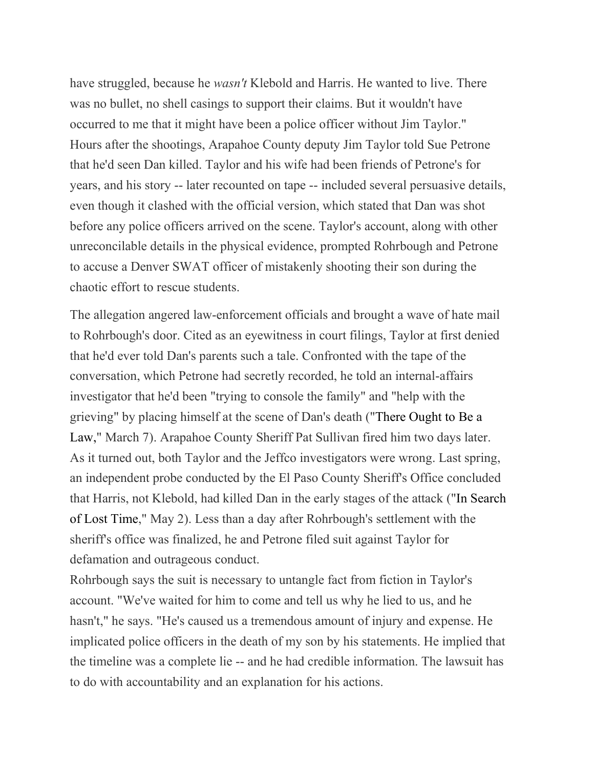have struggled, because he *wasn't* Klebold and Harris. He wanted to live. There was no bullet, no shell casings to support their claims. But it wouldn't have occurred to me that it might have been a police officer without Jim Taylor." Hours after the shootings, Arapahoe County deputy Jim Taylor told Sue Petrone that he'd seen Dan killed. Taylor and his wife had been friends of Petrone's for years, and his story -- later recounted on tape -- included several persuasive details, even though it clashed with the official version, which stated that Dan was shot before any police officers arrived on the scene. Taylor's account, along with other unreconcilable details in the physical evidence, prompted Rohrbough and Petrone to accuse a Denver SWAT officer of mistakenly shooting their son during the chaotic effort to rescue students.

The allegation angered law-enforcement officials and brought a wave of hate mail to Rohrbough's door. Cited as an eyewitness in court filings, Taylor at first denied that he'd ever told Dan's parents such a tale. Confronted with the tape of the conversation, which Petrone had secretly recorded, he told an internal-affairs investigator that he'd been "trying to console the family" and "help with the grieving" by placing himself at the scene of Dan's death ("There [Ought](https://www.westword.com/issues/2002-03-07/feature.html/1/index.html) to Be a [Law,](https://www.westword.com/issues/2002-03-07/feature.html/1/index.html)" March 7). Arapahoe County Sheriff Pat Sullivan fired him two days later. As it turned out, both Taylor and the Jeffco investigators were wrong. Last spring, an independent probe conducted by the El Paso County Sheriff's Office concluded that Harris, not Klebold, had killed Dan in the early stages of the attack ("In [Search](https://www.westword.com/issues/2002-05-02/news.html/1/index.html) of Lost [Time,](https://www.westword.com/issues/2002-05-02/news.html/1/index.html)" May 2). Less than a day after Rohrbough's settlement with the sheriff's office was finalized, he and Petrone filed suit against Taylor for defamation and outrageous conduct.

Rohrbough says the suit is necessary to untangle fact from fiction in Taylor's account. "We've waited for him to come and tell us why he lied to us, and he hasn't," he says. "He's caused us a tremendous amount of injury and expense. He implicated police officers in the death of my son by his statements. He implied that the timeline was a complete lie -- and he had credible information. The lawsuit has to do with accountability and an explanation for his actions.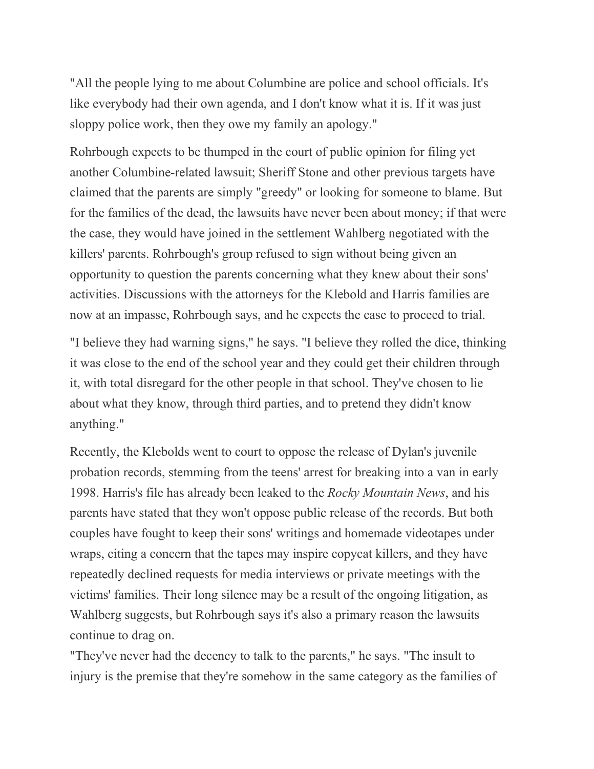"All the people lying to me about Columbine are police and school officials. It's like everybody had their own agenda, and I don't know what it is. If it was just sloppy police work, then they owe my family an apology."

Rohrbough expects to be thumped in the court of public opinion for filing yet another Columbine-related lawsuit; Sheriff Stone and other previous targets have claimed that the parents are simply "greedy" or looking for someone to blame. But for the families of the dead, the lawsuits have never been about money; if that were the case, they would have joined in the settlement Wahlberg negotiated with the killers' parents. Rohrbough's group refused to sign without being given an opportunity to question the parents concerning what they knew about their sons' activities. Discussions with the attorneys for the Klebold and Harris families are now at an impasse, Rohrbough says, and he expects the case to proceed to trial.

"I believe they had warning signs," he says. "I believe they rolled the dice, thinking it was close to the end of the school year and they could get their children through it, with total disregard for the other people in that school. They've chosen to lie about what they know, through third parties, and to pretend they didn't know anything."

Recently, the Klebolds went to court to oppose the release of Dylan's juvenile probation records, stemming from the teens' arrest for breaking into a van in early 1998. Harris's file has already been leaked to the *Rocky Mountain News*, and his parents have stated that they won't oppose public release of the records. But both couples have fought to keep their sons' writings and homemade videotapes under wraps, citing a concern that the tapes may inspire copycat killers, and they have repeatedly declined requests for media interviews or private meetings with the victims' families. Their long silence may be a result of the ongoing litigation, as Wahlberg suggests, but Rohrbough says it's also a primary reason the lawsuits continue to drag on.

"They've never had the decency to talk to the parents," he says. "The insult to injury is the premise that they're somehow in the same category as the families of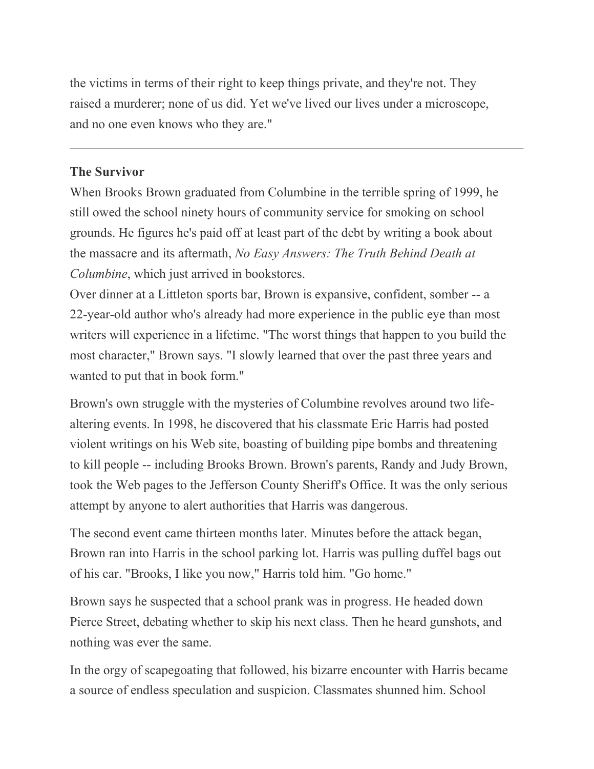the victims in terms of their right to keep things private, and they're not. They raised a murderer; none of us did. Yet we've lived our lives under a microscope, and no one even knows who they are."

# **The Survivor**

When Brooks Brown graduated from Columbine in the terrible spring of 1999, he still owed the school ninety hours of community service for smoking on school grounds. He figures he's paid off at least part of the debt by writing a book about the massacre and its aftermath, *No Easy Answers: The Truth Behind Death at Columbine*, which just arrived in bookstores.

Over dinner at a Littleton sports bar, Brown is expansive, confident, somber -- a 22-year-old author who's already had more experience in the public eye than most writers will experience in a lifetime. "The worst things that happen to you build the most character," Brown says. "I slowly learned that over the past three years and wanted to put that in book form."

Brown's own struggle with the mysteries of Columbine revolves around two lifealtering events. In 1998, he discovered that his classmate Eric Harris had posted violent writings on his Web site, boasting of building pipe bombs and threatening to kill people -- including Brooks Brown. Brown's parents, Randy and Judy Brown, took the Web pages to the Jefferson County Sheriff's Office. It was the only serious attempt by anyone to alert authorities that Harris was dangerous.

The second event came thirteen months later. Minutes before the attack began, Brown ran into Harris in the school parking lot. Harris was pulling duffel bags out of his car. "Brooks, I like you now," Harris told him. "Go home."

Brown says he suspected that a school prank was in progress. He headed down Pierce Street, debating whether to skip his next class. Then he heard gunshots, and nothing was ever the same.

In the orgy of scapegoating that followed, his bizarre encounter with Harris became a source of endless speculation and suspicion. Classmates shunned him. School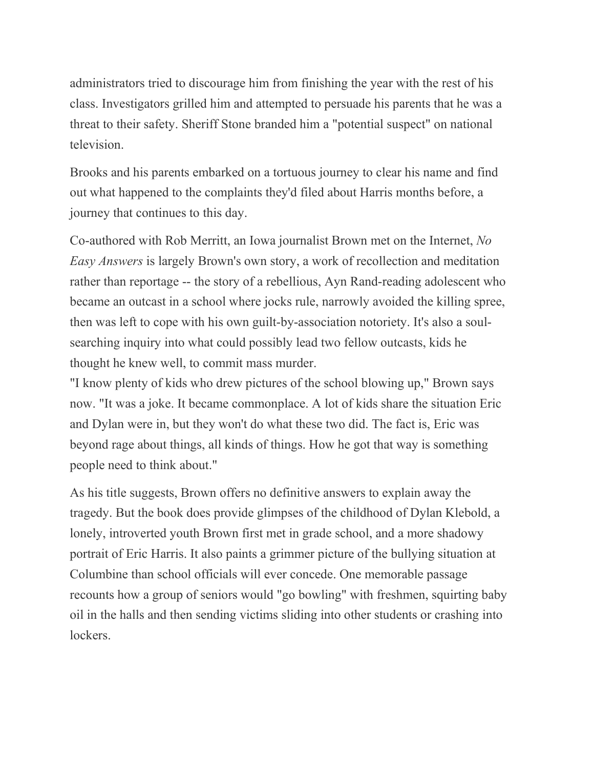administrators tried to discourage him from finishing the year with the rest of his class. Investigators grilled him and attempted to persuade his parents that he was a threat to their safety. Sheriff Stone branded him a "potential suspect" on national television.

Brooks and his parents embarked on a tortuous journey to clear his name and find out what happened to the complaints they'd filed about Harris months before, a journey that continues to this day.

Co-authored with Rob Merritt, an Iowa journalist Brown met on the Internet, *No Easy Answers* is largely Brown's own story, a work of recollection and meditation rather than reportage -- the story of a rebellious, Ayn Rand-reading adolescent who became an outcast in a school where jocks rule, narrowly avoided the killing spree, then was left to cope with his own guilt-by-association notoriety. It's also a soulsearching inquiry into what could possibly lead two fellow outcasts, kids he thought he knew well, to commit mass murder.

"I know plenty of kids who drew pictures of the school blowing up," Brown says now. "It was a joke. It became commonplace. A lot of kids share the situation Eric and Dylan were in, but they won't do what these two did. The fact is, Eric was beyond rage about things, all kinds of things. How he got that way is something people need to think about."

As his title suggests, Brown offers no definitive answers to explain away the tragedy. But the book does provide glimpses of the childhood of Dylan Klebold, a lonely, introverted youth Brown first met in grade school, and a more shadowy portrait of Eric Harris. It also paints a grimmer picture of the bullying situation at Columbine than school officials will ever concede. One memorable passage recounts how a group of seniors would "go bowling" with freshmen, squirting baby oil in the halls and then sending victims sliding into other students or crashing into lockers.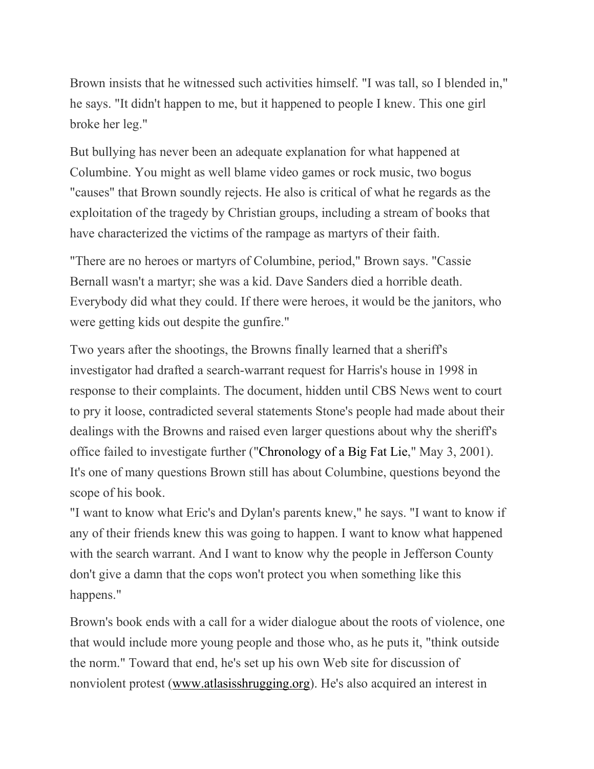Brown insists that he witnessed such activities himself. "I was tall, so I blended in," he says. "It didn't happen to me, but it happened to people I knew. This one girl broke her leg."

But bullying has never been an adequate explanation for what happened at Columbine. You might as well blame video games or rock music, two bogus "causes" that Brown soundly rejects. He also is critical of what he regards as the exploitation of the tragedy by Christian groups, including a stream of books that have characterized the victims of the rampage as martyrs of their faith.

"There are no heroes or martyrs of Columbine, period," Brown says. "Cassie Bernall wasn't a martyr; she was a kid. Dave Sanders died a horrible death. Everybody did what they could. If there were heroes, it would be the janitors, who were getting kids out despite the gunfire."

Two years after the shootings, the Browns finally learned that a sheriff's investigator had drafted a search-warrant request for Harris's house in 1998 in response to their complaints. The document, hidden until CBS News went to court to pry it loose, contradicted several statements Stone's people had made about their dealings with the Browns and raised even larger questions about why the sheriff's office failed to investigate further (["Chronology](https://www.westword.com/issues/2001-04-19/news2.html/1/index.html) of a Big Fat Lie," May 3, 2001). It's one of many questions Brown still has about Columbine, questions beyond the scope of his book.

"I want to know what Eric's and Dylan's parents knew," he says. "I want to know if any of their friends knew this was going to happen. I want to know what happened with the search warrant. And I want to know why the people in Jefferson County don't give a damn that the cops won't protect you when something like this happens."

Brown's book ends with a call for a wider dialogue about the roots of violence, one that would include more young people and those who, as he puts it, "think outside the norm." Toward that end, he's set up his own Web site for discussion of nonviolent protest [\(www.atlasisshrugging.org\)](http://www.atlasisshrugging.org/). He's also acquired an interest in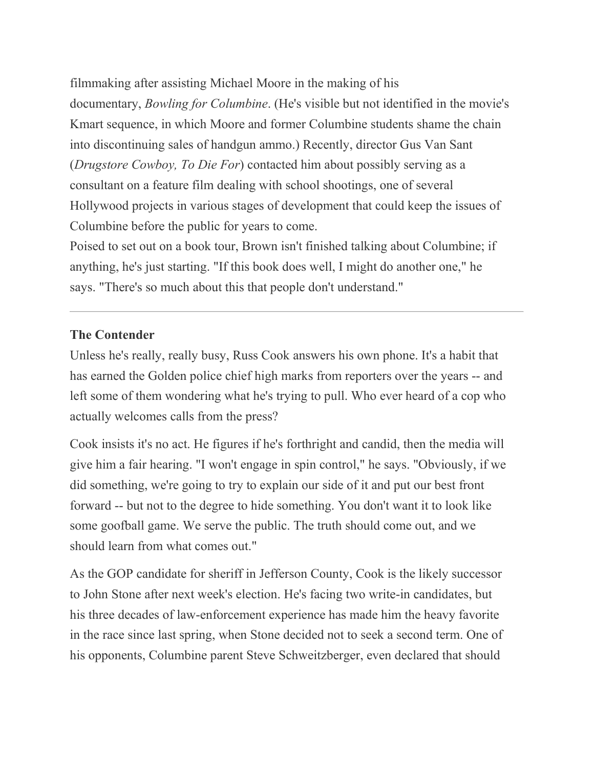filmmaking after assisting Michael Moore in the making of his

documentary, *Bowling for Columbine*. (He's visible but not identified in the movie's Kmart sequence, in which Moore and former Columbine students shame the chain into discontinuing sales of handgun ammo.) Recently, director Gus Van Sant (*Drugstore Cowboy, To Die For*) contacted him about possibly serving as a consultant on a feature film dealing with school shootings, one of several Hollywood projects in various stages of development that could keep the issues of Columbine before the public for years to come.

Poised to set out on a book tour, Brown isn't finished talking about Columbine; if anything, he's just starting. "If this book does well, I might do another one," he says. "There's so much about this that people don't understand."

## **The Contender**

Unless he's really, really busy, Russ Cook answers his own phone. It's a habit that has earned the Golden police chief high marks from reporters over the years -- and left some of them wondering what he's trying to pull. Who ever heard of a cop who actually welcomes calls from the press?

Cook insists it's no act. He figures if he's forthright and candid, then the media will give him a fair hearing. "I won't engage in spin control," he says. "Obviously, if we did something, we're going to try to explain our side of it and put our best front forward -- but not to the degree to hide something. You don't want it to look like some goofball game. We serve the public. The truth should come out, and we should learn from what comes out."

As the GOP candidate for sheriff in Jefferson County, Cook is the likely successor to John Stone after next week's election. He's facing two write-in candidates, but his three decades of law-enforcement experience has made him the heavy favorite in the race since last spring, when Stone decided not to seek a second term. One of his opponents, Columbine parent Steve Schweitzberger, even declared that should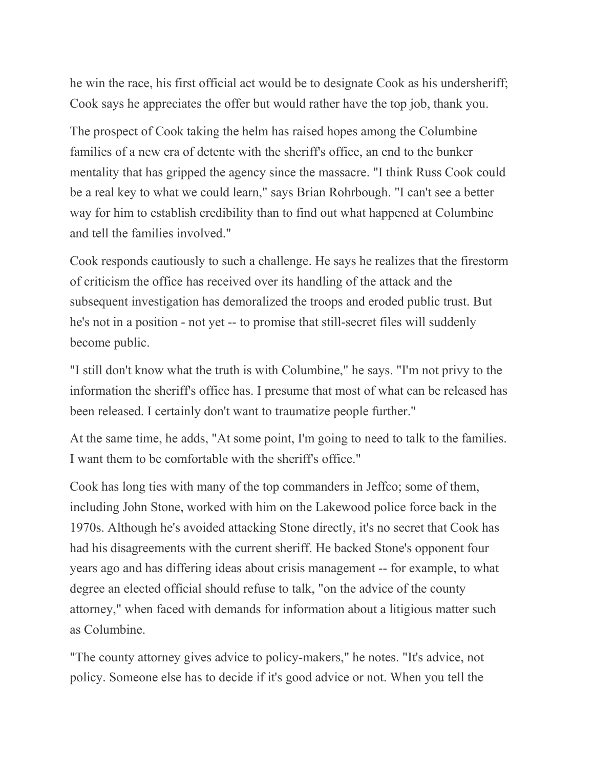he win the race, his first official act would be to designate Cook as his undersheriff; Cook says he appreciates the offer but would rather have the top job, thank you.

The prospect of Cook taking the helm has raised hopes among the Columbine families of a new era of detente with the sheriff's office, an end to the bunker mentality that has gripped the agency since the massacre. "I think Russ Cook could be a real key to what we could learn," says Brian Rohrbough. "I can't see a better way for him to establish credibility than to find out what happened at Columbine and tell the families involved."

Cook responds cautiously to such a challenge. He says he realizes that the firestorm of criticism the office has received over its handling of the attack and the subsequent investigation has demoralized the troops and eroded public trust. But he's not in a position - not yet -- to promise that still-secret files will suddenly become public.

"I still don't know what the truth is with Columbine," he says. "I'm not privy to the information the sheriff's office has. I presume that most of what can be released has been released. I certainly don't want to traumatize people further."

At the same time, he adds, "At some point, I'm going to need to talk to the families. I want them to be comfortable with the sheriff's office."

Cook has long ties with many of the top commanders in Jeffco; some of them, including John Stone, worked with him on the Lakewood police force back in the 1970s. Although he's avoided attacking Stone directly, it's no secret that Cook has had his disagreements with the current sheriff. He backed Stone's opponent four years ago and has differing ideas about crisis management -- for example, to what degree an elected official should refuse to talk, "on the advice of the county attorney," when faced with demands for information about a litigious matter such as Columbine.

"The county attorney gives advice to policy-makers," he notes. "It's advice, not policy. Someone else has to decide if it's good advice or not. When you tell the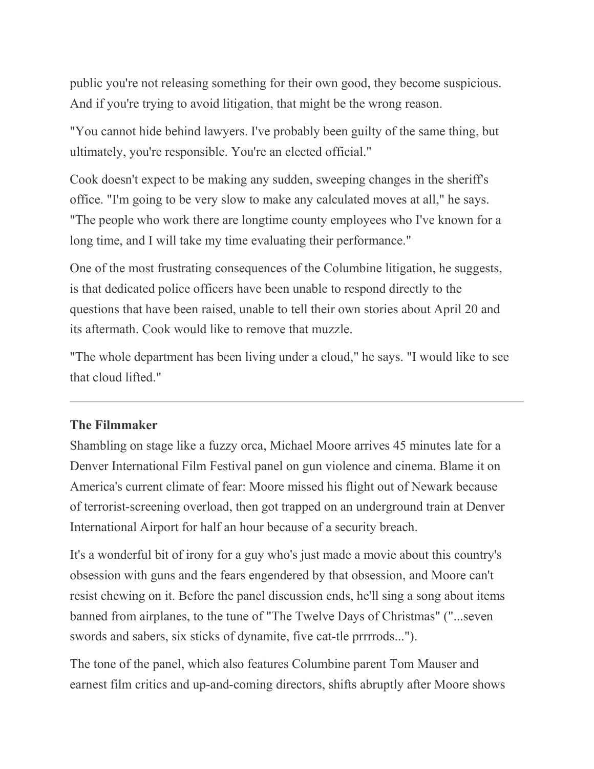public you're not releasing something for their own good, they become suspicious. And if you're trying to avoid litigation, that might be the wrong reason.

"You cannot hide behind lawyers. I've probably been guilty of the same thing, but ultimately, you're responsible. You're an elected official."

Cook doesn't expect to be making any sudden, sweeping changes in the sheriff's office. "I'm going to be very slow to make any calculated moves at all," he says. "The people who work there are longtime county employees who I've known for a long time, and I will take my time evaluating their performance."

One of the most frustrating consequences of the Columbine litigation, he suggests, is that dedicated police officers have been unable to respond directly to the questions that have been raised, unable to tell their own stories about April 20 and its aftermath. Cook would like to remove that muzzle.

"The whole department has been living under a cloud," he says. "I would like to see that cloud lifted."

### **The Filmmaker**

Shambling on stage like a fuzzy orca, Michael Moore arrives 45 minutes late for a Denver International Film Festival panel on gun violence and cinema. Blame it on America's current climate of fear: Moore missed his flight out of Newark because of terrorist-screening overload, then got trapped on an underground train at Denver International Airport for half an hour because of a security breach.

It's a wonderful bit of irony for a guy who's just made a movie about this country's obsession with guns and the fears engendered by that obsession, and Moore can't resist chewing on it. Before the panel discussion ends, he'll sing a song about items banned from airplanes, to the tune of "The Twelve Days of Christmas" ("...seven swords and sabers, six sticks of dynamite, five cat-tle prrrrods...").

The tone of the panel, which also features Columbine parent Tom Mauser and earnest film critics and up-and-coming directors, shifts abruptly after Moore shows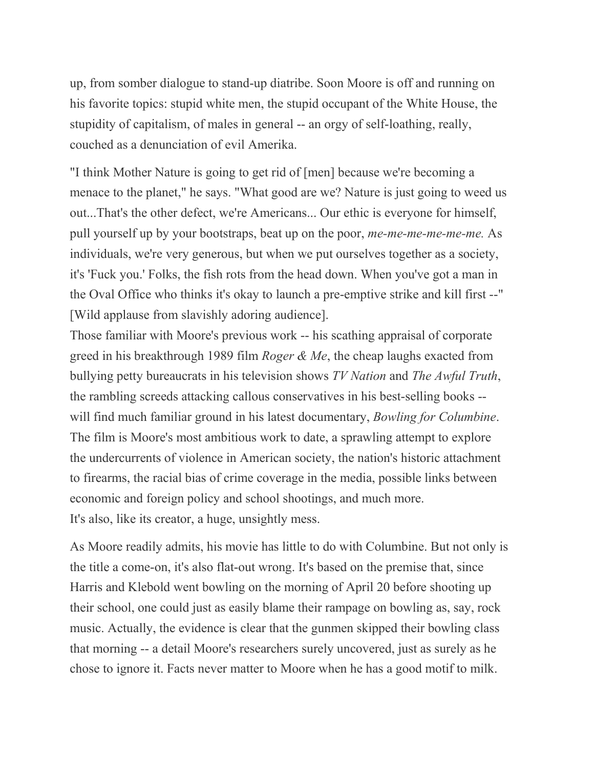up, from somber dialogue to stand-up diatribe. Soon Moore is off and running on his favorite topics: stupid white men, the stupid occupant of the White House, the stupidity of capitalism, of males in general -- an orgy of self-loathing, really, couched as a denunciation of evil Amerika.

"I think Mother Nature is going to get rid of [men] because we're becoming a menace to the planet," he says. "What good are we? Nature is just going to weed us out...That's the other defect, we're Americans... Our ethic is everyone for himself, pull yourself up by your bootstraps, beat up on the poor, *me-me-me-me-me-me.* As individuals, we're very generous, but when we put ourselves together as a society, it's 'Fuck you.' Folks, the fish rots from the head down. When you've got a man in the Oval Office who thinks it's okay to launch a pre-emptive strike and kill first --" [Wild applause from slavishly adoring audience].

Those familiar with Moore's previous work -- his scathing appraisal of corporate greed in his breakthrough 1989 film *Roger & Me*, the cheap laughs exacted from bullying petty bureaucrats in his television shows *TV Nation* and *The Awful Truth*, the rambling screeds attacking callous conservatives in his best-selling books - will find much familiar ground in his latest documentary, *Bowling for Columbine*. The film is Moore's most ambitious work to date, a sprawling attempt to explore the undercurrents of violence in American society, the nation's historic attachment to firearms, the racial bias of crime coverage in the media, possible links between economic and foreign policy and school shootings, and much more. It's also, like its creator, a huge, unsightly mess.

As Moore readily admits, his movie has little to do with Columbine. But not only is the title a come-on, it's also flat-out wrong. It's based on the premise that, since Harris and Klebold went bowling on the morning of April 20 before shooting up their school, one could just as easily blame their rampage on bowling as, say, rock music. Actually, the evidence is clear that the gunmen skipped their bowling class that morning -- a detail Moore's researchers surely uncovered, just as surely as he chose to ignore it. Facts never matter to Moore when he has a good motif to milk.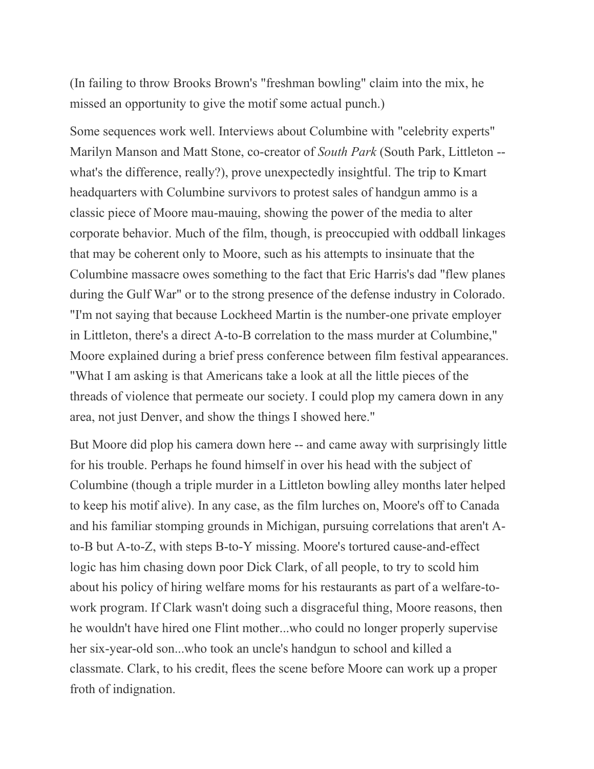(In failing to throw Brooks Brown's "freshman bowling" claim into the mix, he missed an opportunity to give the motif some actual punch.)

Some sequences work well. Interviews about Columbine with "celebrity experts" Marilyn Manson and Matt Stone, co-creator of *South Park* (South Park, Littleton - what's the difference, really?), prove unexpectedly insightful. The trip to Kmart headquarters with Columbine survivors to protest sales of handgun ammo is a classic piece of Moore mau-mauing, showing the power of the media to alter corporate behavior. Much of the film, though, is preoccupied with oddball linkages that may be coherent only to Moore, such as his attempts to insinuate that the Columbine massacre owes something to the fact that Eric Harris's dad "flew planes during the Gulf War" or to the strong presence of the defense industry in Colorado. "I'm not saying that because Lockheed Martin is the number-one private employer in Littleton, there's a direct A-to-B correlation to the mass murder at Columbine," Moore explained during a brief press conference between film festival appearances. "What I am asking is that Americans take a look at all the little pieces of the threads of violence that permeate our society. I could plop my camera down in any area, not just Denver, and show the things I showed here."

But Moore did plop his camera down here -- and came away with surprisingly little for his trouble. Perhaps he found himself in over his head with the subject of Columbine (though a triple murder in a Littleton bowling alley months later helped to keep his motif alive). In any case, as the film lurches on, Moore's off to Canada and his familiar stomping grounds in Michigan, pursuing correlations that aren't Ato-B but A-to-Z, with steps B-to-Y missing. Moore's tortured cause-and-effect logic has him chasing down poor Dick Clark, of all people, to try to scold him about his policy of hiring welfare moms for his restaurants as part of a welfare-towork program. If Clark wasn't doing such a disgraceful thing, Moore reasons, then he wouldn't have hired one Flint mother...who could no longer properly supervise her six-year-old son...who took an uncle's handgun to school and killed a classmate. Clark, to his credit, flees the scene before Moore can work up a proper froth of indignation.